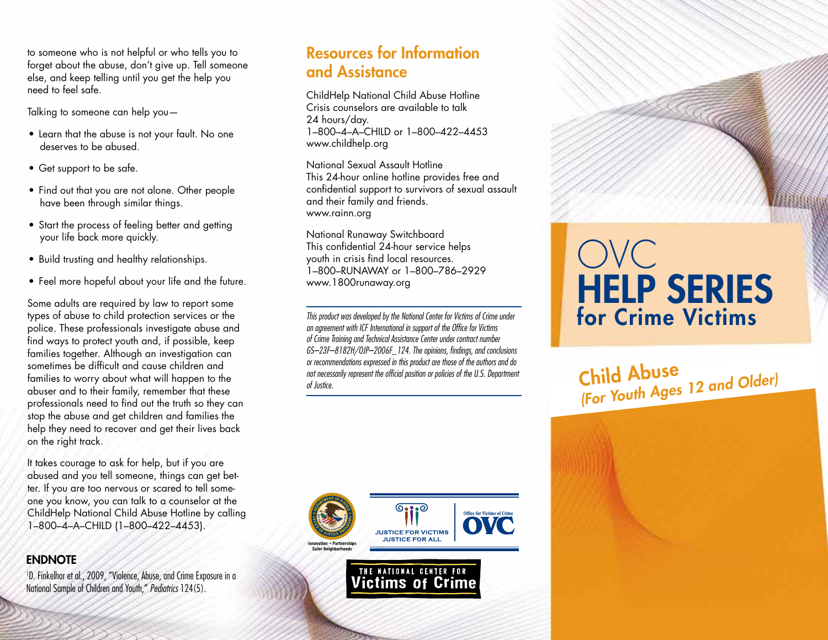to someone who is not helpful or who tells you to forget about the abuse, don't give up. Tell someone else, and keep telling until you get the help you need to feel safe.

Talking to someone can help you—

- Learn that the abuse is not your fault. No one deserves to be abused.
- Get support to be safe.
- Find out that you are not alone. Other people have been through similar things.
- Start the process of feeling better and getting your life back more quickly.
- Build trusting and healthy relationships.
- Feel more hopeful about your life and the future.

Some adults are required by law to report some types of abuse to child protection services or the police. These professionals investigate abuse and find ways to protect youth and, if possible, keep families together. Although an investigation can sometimes be difficult and cause children and families to worry about what will happen to the abuser and to their family, remember that these professionals need to find out the truth so they can stop the abuse and get children and families the help they need to recover and get their lives back on the right track.

It takes courage to ask for help, but if you are abused and you tell someone, things can get better. If you are too nervous or scared to tell someone you know, you can talk to a counselor at the ChildHelp National Child Abuse Hotline by calling 1–800–4–A–CHILD (1–800–422–4453).

#### **ENDNOTE**

1 D. Finkelhor et al., 2009, "Violence, Abuse, and Crime Exposure in a National Sample of Children and Youth," *Pediatrics* 124(5).

#### Resources for Information and Assistance

ChildHelp National Child Abuse Hotline Crisis counselors are available to talk 24 hours/day. 1–800–4–A–CHILD or 1–800–422–4453 www.childhelp.org

National Sexual Assault Hotline This 24-hour online hotline provides free and confidential support to survivors of sexual assault and their family and friends. www.rainn.org

National Runaway Switchboard This confidential 24-hour service helps youth in crisis find local resources. 1–800–RUNAWAY or 1–800–786–2929 www.1800runaway.org

*This product was developed by the National Center for Victims of Crime under an agreement with ICF International in support of the Office for Victims of Crime Training and Technical Assistance Center under contract number GS–23F–8182H/OJP–2006F\_124. The opinions, findings, and conclusions or recommendations expressed in this product are those of the authors and do not necessarily represent the official position or policies of the U.S. Department of Justice.*



THE NATIONAL CENTER FOR **Victims of Crime** 

# OVC HELP SERIES for Crime Victims

Child Abuse *(For Youth Ages 12 and Older)*